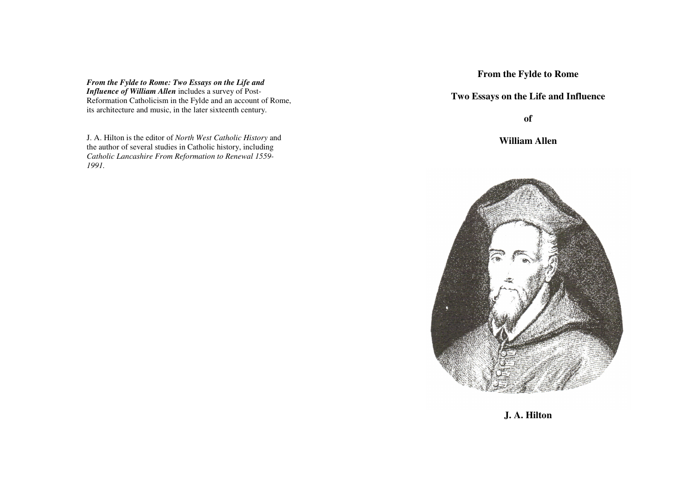*From the Fylde to Rome: Two Essays on the Life and Influence of William Allen* includes a survey of Post-Reformation Catholicism in the Fylde and an account of Rome, its architecture and music, in the later sixteenth century.

J. A. Hilton is the editor of *North West Catholic History* and the author of several studies in Catholic history, including *Catholic Lancashire From Reformation to Renewal 1559-1991.* 

**From the Fylde to Rome** 

**Two Essays on the Life and Influence** 

**of** 

**William Allen** 



**J. A. Hilton**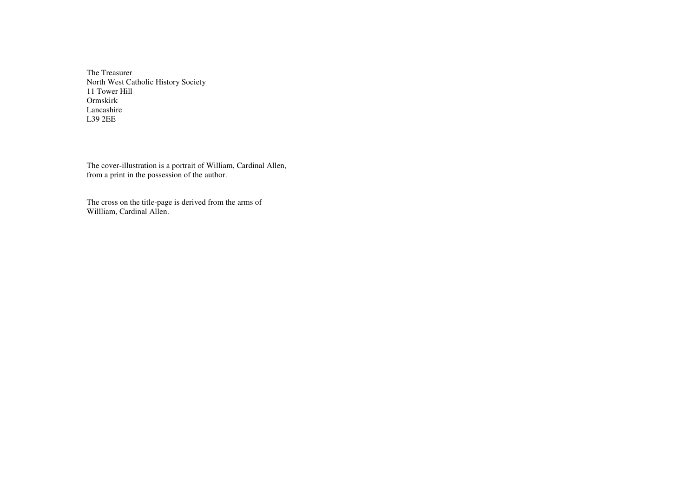The Treasurer North West Catholic History Society 11 Tower Hill Ormskirk Lancashire L39 2EE

The cover-illustration is a portrait of William, Cardinal Allen, from a print in the possession of the author.

The cross on the title-page is derived from the arms of Willliam, Cardinal Allen.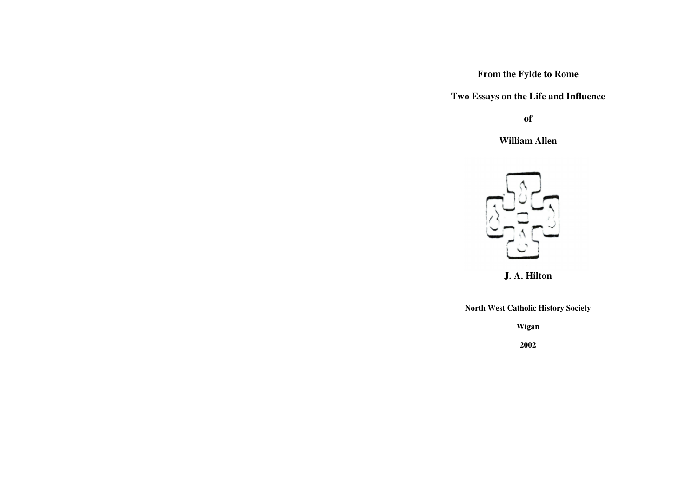# **From the Fylde to Rome**

**Two Essays on the Life and Influence** 

**of** 

**William Allen** 



**J. A. Hilton**

**North West Catholic History Society** 

**Wigan** 

**2002**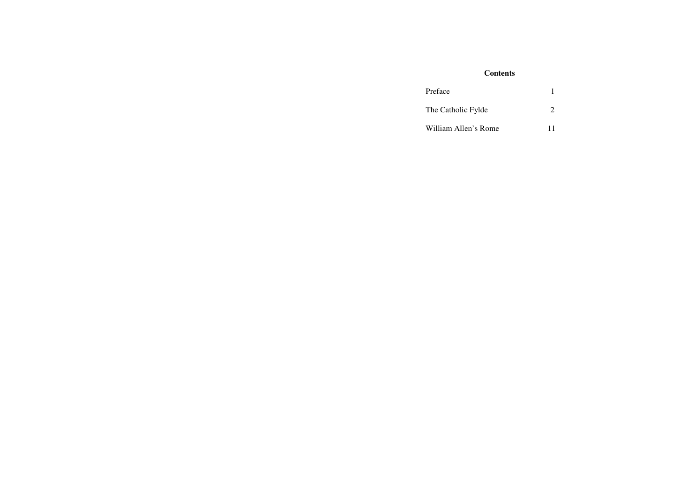## **Contents**

| Preface              |    |
|----------------------|----|
| The Catholic Fylde   |    |
| William Allen's Rome | 11 |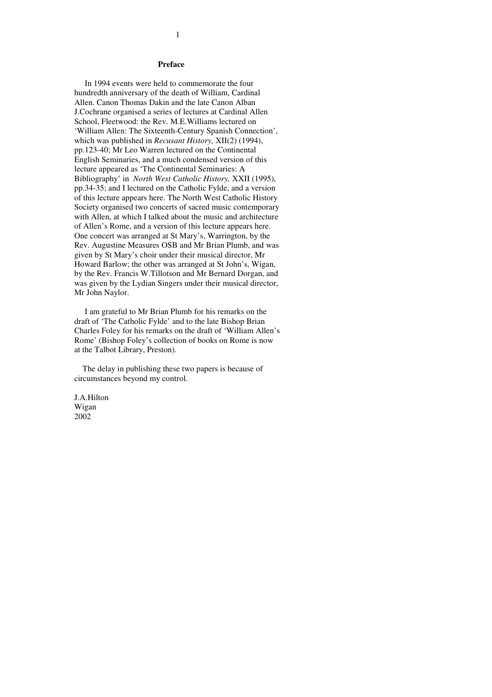#### **Preface**

 In 1994 events were held to commemorate the four hundredth anniversary of the death of William, Cardinal Allen. Canon Thomas Dakin and the late Canon Alban J.Cochrane organised a series of lectures at Cardinal Allen School, Fleetwood: the Rev. M.E.Williams lectured on 'William Allen: The Sixteenth-Century Spanish Connection', which was published in *Recusant History,* XII(2) (1994), pp.123-40; Mr Leo Warren lectured on the Continental English Seminaries, and a much condensed version of this lecture appeared as 'The Continental Seminaries: A Bibliography' in *North West Catholic History,* XXII (1995), pp.34-35; and I lectured on the Catholic Fylde, and a version of this lecture appears here. The North West Catholic History Society organised two concerts of sacred music contemporary with Allen, at which I talked about the music and architecture of Allen's Rome, and a version of this lecture appears here. One concert was arranged at St Mary's, Warrington, by the Rev. Augustine Measures OSB and Mr Brian Plumb, and was given by St Mary's choir under their musical director, Mr Howard Barlow; the other was arranged at St John's, Wigan, by the Rev. Francis W.Tillotson and Mr Bernard Dorgan, and was given by the Lydian Singers under their musical director, Mr John Naylor.

 I am grateful to Mr Brian Plumb for his remarks on the draft of 'The Catholic Fylde' and to the late Bishop Brian Charles Foley for his remarks on the draft of 'William Allen's Rome' (Bishop Foley's collection of books on Rome is now at the Talbot Library, Preston).

 The delay in publishing these two papers is because of circumstances beyond my control.

J.A.Hilton Wigan 2002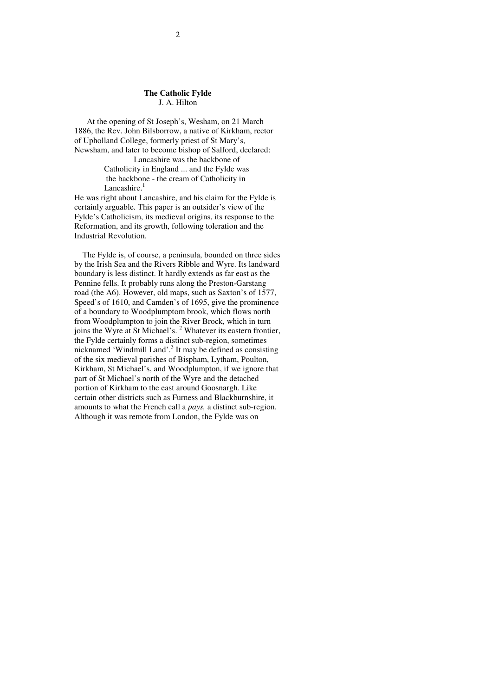### **The Catholic Fylde** J. A. Hilton

 At the opening of St Joseph's, Wesham, on 21 March 1886, the Rev. John Bilsborrow, a native of Kirkham, rector of Upholland College, formerly priest of St Mary's, Newsham, and later to become bishop of Salford, declared:

 Lancashire was the backbone of Catholicity in England ... and the Fylde was the backbone - the cream of Catholicity in Lancashire. $<sup>1</sup>$ </sup>

He was right about Lancashire, and his claim for the Fylde is certainly arguable. This paper is an outsider's view of the Fylde's Catholicism, its medieval origins, its response to the Reformation, and its growth, following toleration and the Industrial Revolution.

 The Fylde is, of course, a peninsula, bounded on three sides by the Irish Sea and the Rivers Ribble and Wyre. Its landward boundary is less distinct. It hardly extends as far east as the Pennine fells. It probably runs along the Preston-Garstang road (the A6). However, old maps, such as Saxton's of 1577, Speed's of 1610, and Camden's of 1695, give the prominence of a boundary to Woodplumptom brook, which flows north from Woodplumpton to join the River Brock, which in turn joins the Wyre at St Michael's.<sup>2</sup> Whatever its eastern frontier, the Fylde certainly forms a distinct sub-region, sometimes nicknamed 'Windmill Land'.<sup>3</sup> It may be defined as consisting of the six medieval parishes of Bispham, Lytham, Poulton, Kirkham, St Michael's, and Woodplumpton, if we ignore that part of St Michael's north of the Wyre and the detached portion of Kirkham to the east around Goosnargh. Like certain other districts such as Furness and Blackburnshire, it amounts to what the French call a *pays,* a distinct sub-region. Although it was remote from London, the Fylde was on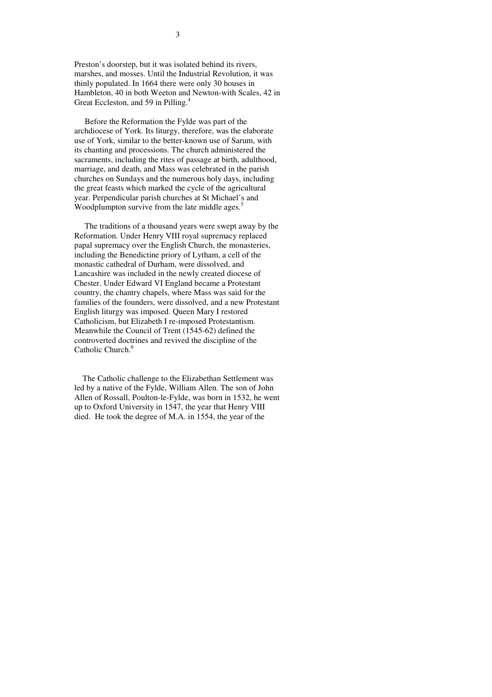Preston's doorstep, but it was isolated behind its rivers, marshes, and mosses. Until the Industrial Revolution, it was thinly populated. In 1664 there were only 30 houses in Hambleton, 40 in both Weeton and Newton-with Scales, 42 in Great Eccleston, and 59 in Pilling.<sup>4</sup>

 Before the Reformation the Fylde was part of the archdiocese of York. Its liturgy, therefore, was the elaborate use of York, similar to the better-known use of Sarum, with its chanting and processions. The church administered the sacraments, including the rites of passage at birth, adulthood, marriage, and death, and Mass was celebrated in the parish churches on Sundays and the numerous holy days, including the great feasts which marked the cycle of the agricultural year. Perpendicular parish churches at St Michael's and Woodplumpton survive from the late middle ages.<sup>5</sup>

 The traditions of a thousand years were swept away by the Reformation. Under Henry VIII royal supremacy replaced papal supremacy over the English Church, the monasteries, including the Benedictine priory of Lytham, a cell of the monastic cathedral of Durham, were dissolved, and Lancashire was included in the newly created diocese of Chester. Under Edward VI England became a Protestant country, the chantry chapels, where Mass was said for the families of the founders, were dissolved, and a new Protestant English liturgy was imposed. Queen Mary I restored Catholicism, but Elizabeth I re-imposed Protestantism. Meanwhile the Council of Trent (1545-62) defined the controverted doctrines and revived the discipline of the Catholic Church.<sup>6</sup>

 The Catholic challenge to the Elizabethan Settlement was led by a native of the Fylde, William Allen. The son of John Allen of Rossall, Poulton-le-Fylde, was born in 1532, he went up to Oxford University in 1547, the year that Henry VIII died. He took the degree of M.A. in 1554, the year of the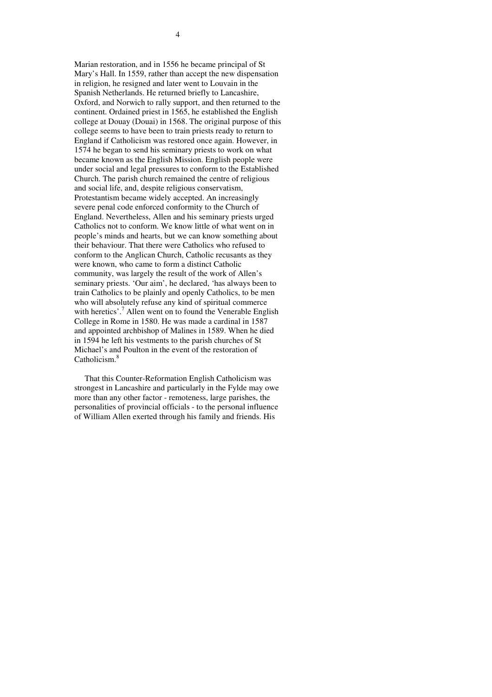Marian restoration, and in 1556 he became principal of St Mary's Hall. In 1559, rather than accept the new dispensation in religion, he resigned and later went to Louvain in the Spanish Netherlands. He returned briefly to Lancashire, Oxford, and Norwich to rally support, and then returned to the continent. Ordained priest in 1565, he established the English college at Douay (Douai) in 1568. The original purpose of this college seems to have been to train priests ready to return to England if Catholicism was restored once again. However, in 1574 he began to send his seminary priests to work on what became known as the English Mission. English people were under social and legal pressures to conform to the Established Church. The parish church remained the centre of religious and social life, and, despite religious conservatism, Protestantism became widely accepted. An increasingly severe penal code enforced conformity to the Church of England. Nevertheless, Allen and his seminary priests urged Catholics not to conform. We know little of what went on in people's minds and hearts, but we can know something about their behaviour. That there were Catholics who refused to conform to the Anglican Church, Catholic recusants as they were known, who came to form a distinct Catholic community, was largely the result of the work of Allen's seminary priests. 'Our aim', he declared, 'has always been to train Catholics to be plainly and openly Catholics, to be men who will absolutely refuse any kind of spiritual commerce with heretics'.<sup>7</sup> Allen went on to found the Venerable English College in Rome in 1580. He was made a cardinal in 1587 and appointed archbishop of Malines in 1589. When he died in 1594 he left his vestments to the parish churches of St Michael's and Poulton in the event of the restoration of Catholicism.<sup>8</sup>

 That this Counter-Reformation English Catholicism was strongest in Lancashire and particularly in the Fylde may owe more than any other factor - remoteness, large parishes, the personalities of provincial officials - to the personal influence of William Allen exerted through his family and friends. His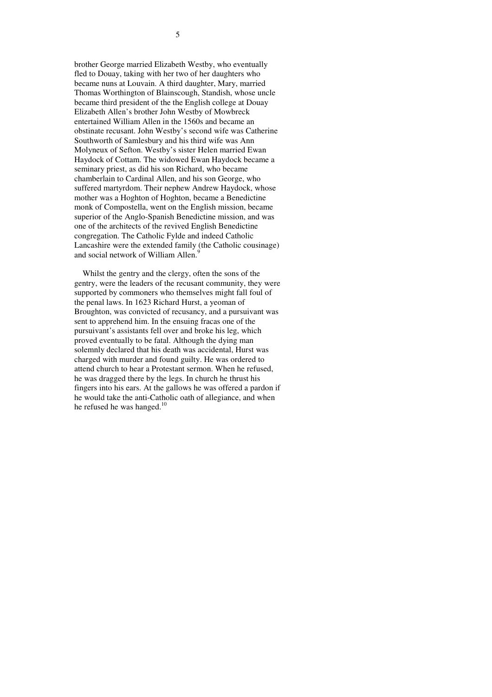brother George married Elizabeth Westby, who eventually fled to Douay, taking with her two of her daughters who became nuns at Louvain. A third daughter, Mary, married Thomas Worthington of Blainscough, Standish, whose uncle became third president of the the English college at Douay Elizabeth Allen's brother John Westby of Mowbreck entertained William Allen in the 1560s and became an obstinate recusant. John Westby's second wife was Catherine Southworth of Samlesbury and his third wife was Ann Molyneux of Sefton. Westby's sister Helen married Ewan Haydock of Cottam. The widowed Ewan Haydock became a seminary priest, as did his son Richard, who became chamberlain to Cardinal Allen, and his son George, who suffered martyrdom. Their nephew Andrew Haydock, whose mother was a Hoghton of Hoghton, became a Benedictine monk of Compostella, went on the English mission, became superior of the Anglo-Spanish Benedictine mission, and was one of the architects of the revived English Benedictine congregation. The Catholic Fylde and indeed Catholic Lancashire were the extended family (the Catholic cousinage) and social network of William Allen.<sup>9</sup>

 Whilst the gentry and the clergy, often the sons of the gentry, were the leaders of the recusant community, they were supported by commoners who themselves might fall foul of the penal laws. In 1623 Richard Hurst, a yeoman of Broughton, was convicted of recusancy, and a pursuivant was sent to apprehend him. In the ensuing fracas one of the pursuivant's assistants fell over and broke his leg, which proved eventually to be fatal. Although the dying man solemnly declared that his death was accidental, Hurst was charged with murder and found guilty. He was ordered to attend church to hear a Protestant sermon. When he refused, he was dragged there by the legs. In church he thrust his fingers into his ears. At the gallows he was offered a pardon if he would take the anti-Catholic oath of allegiance, and when he refused he was hanged. $^{10}$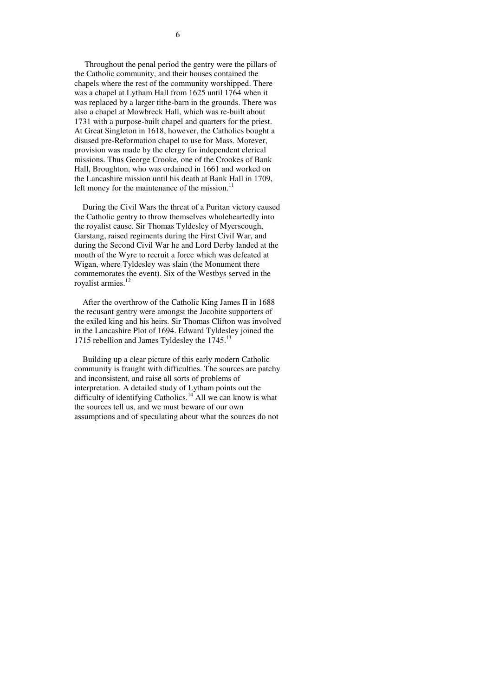Throughout the penal period the gentry were the pillars of the Catholic community, and their houses contained the chapels where the rest of the community worshipped. There was a chapel at Lytham Hall from 1625 until 1764 when it was replaced by a larger tithe-barn in the grounds. There was also a chapel at Mowbreck Hall, which was re-built about 1731 with a purpose-built chapel and quarters for the priest. At Great Singleton in 1618, however, the Catholics bought a disused pre-Reformation chapel to use for Mass. Morever, provision was made by the clergy for independent clerical missions. Thus George Crooke, one of the Crookes of Bank Hall, Broughton, who was ordained in 1661 and worked on the Lancashire mission until his death at Bank Hall in 1709, left money for the maintenance of the mission. $^{11}$ 

 During the Civil Wars the threat of a Puritan victory caused the Catholic gentry to throw themselves wholeheartedly into the royalist cause. Sir Thomas Tyldesley of Myerscough, Garstang, raised regiments during the First Civil War, and during the Second Civil War he and Lord Derby landed at the mouth of the Wyre to recruit a force which was defeated at Wigan, where Tyldesley was slain (the Monument there commemorates the event). Six of the Westbys served in the royalist armies.<sup>12</sup>

 After the overthrow of the Catholic King James II in 1688 the recusant gentry were amongst the Jacobite supporters of the exiled king and his heirs. Sir Thomas Clifton was involved in the Lancashire Plot of 1694. Edward Tyldesley joined the 1715 rebellion and James Tyldesley the 1745.<sup>13</sup>

 Building up a clear picture of this early modern Catholic community is fraught with difficulties. The sources are patchy and inconsistent, and raise all sorts of problems of interpretation. A detailed study of Lytham points out the difficulty of identifying Catholics.<sup>14</sup> All we can know is what the sources tell us, and we must beware of our own assumptions and of speculating about what the sources do not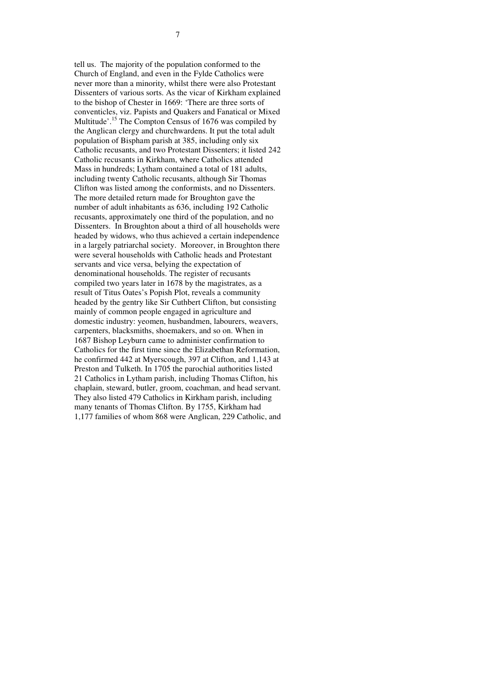tell us. The majority of the population conformed to the Church of England, and even in the Fylde Catholics were never more than a minority, whilst there were also Protestant Dissenters of various sorts. As the vicar of Kirkham explained to the bishop of Chester in 1669: 'There are three sorts of conventicles, viz. Papists and Quakers and Fanatical or Mixed Multitude'.<sup>15</sup> The Compton Census of 1676 was compiled by the Anglican clergy and churchwardens. It put the total adult population of Bispham parish at 385, including only six Catholic recusants, and two Protestant Dissenters; it listed 242 Catholic recusants in Kirkham, where Catholics attended Mass in hundreds; Lytham contained a total of 181 adults, including twenty Catholic recusants, although Sir Thomas Clifton was listed among the conformists, and no Dissenters. The more detailed return made for Broughton gave the number of adult inhabitants as 636, including 192 Catholic recusants, approximately one third of the population, and no Dissenters. In Broughton about a third of all households were headed by widows, who thus achieved a certain independence in a largely patriarchal society. Moreover, in Broughton there were several households with Catholic heads and Protestant servants and vice versa, belying the expectation of denominational households. The register of recusants compiled two years later in 1678 by the magistrates, as a result of Titus Oates's Popish Plot, reveals a community headed by the gentry like Sir Cuthbert Clifton, but consisting mainly of common people engaged in agriculture and domestic industry: yeomen, husbandmen, labourers, weavers, carpenters, blacksmiths, shoemakers, and so on. When in 1687 Bishop Leyburn came to administer confirmation to Catholics for the first time since the Elizabethan Reformation, he confirmed 442 at Myerscough, 397 at Clifton, and 1,143 at Preston and Tulketh. In 1705 the parochial authorities listed 21 Catholics in Lytham parish, including Thomas Clifton, his chaplain, steward, butler, groom, coachman, and head servant. They also listed 479 Catholics in Kirkham parish, including many tenants of Thomas Clifton. By 1755, Kirkham had 1,177 families of whom 868 were Anglican, 229 Catholic, and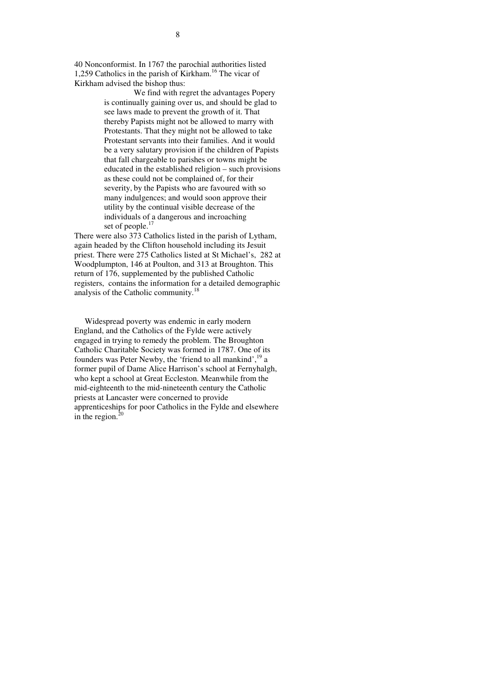40 Nonconformist. In 1767 the parochial authorities listed 1,259 Catholics in the parish of Kirkham.<sup>16</sup> The vicar of Kirkham advised the bishop thus:

 We find with regret the advantages Popery is continually gaining over us, and should be glad to see laws made to prevent the growth of it. That thereby Papists might not be allowed to marry with Protestants. That they might not be allowed to take Protestant servants into their families. And it would be a very salutary provision if the children of Papists that fall chargeable to parishes or towns might be educated in the established religion – such provisions as these could not be complained of, for their severity, by the Papists who are favoured with so many indulgences; and would soon approve their utility by the continual visible decrease of the individuals of a dangerous and incroaching set of people.<sup>17</sup>

There were also 373 Catholics listed in the parish of Lytham, again headed by the Clifton household including its Jesuit priest. There were 275 Catholics listed at St Michael's, 282 at Woodplumpton, 146 at Poulton, and 313 at Broughton. This return of 176, supplemented by the published Catholic registers, contains the information for a detailed demographic analysis of the Catholic community.<sup>18</sup>

 Widespread poverty was endemic in early modern England, and the Catholics of the Fylde were actively engaged in trying to remedy the problem. The Broughton Catholic Charitable Society was formed in 1787. One of its founders was Peter Newby, the 'friend to all mankind', <sup>19</sup> a former pupil of Dame Alice Harrison's school at Fernyhalgh, who kept a school at Great Eccleston. Meanwhile from the mid-eighteenth to the mid-nineteenth century the Catholic priests at Lancaster were concerned to provide apprenticeships for poor Catholics in the Fylde and elsewhere in the region. $\frac{2}{3}$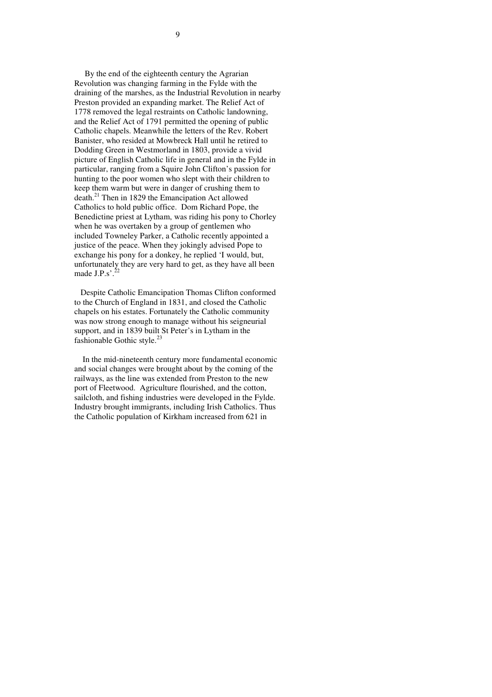By the end of the eighteenth century the Agrarian Revolution was changing farming in the Fylde with the draining of the marshes, as the Industrial Revolution in nearby Preston provided an expanding market. The Relief Act of 1778 removed the legal restraints on Catholic landowning, and the Relief Act of 1791 permitted the opening of public Catholic chapels. Meanwhile the letters of the Rev. Robert Banister, who resided at Mowbreck Hall until he retired to Dodding Green in Westmorland in 1803, provide a vivid picture of English Catholic life in general and in the Fylde in particular, ranging from a Squire John Clifton's passion for hunting to the poor women who slept with their children to keep them warm but were in danger of crushing them to death.<sup>21</sup> Then in 1829 the Emancipation Act allowed Catholics to hold public office. Dom Richard Pope, the Benedictine priest at Lytham, was riding his pony to Chorley when he was overtaken by a group of gentlemen who included Towneley Parker, a Catholic recently appointed a justice of the peace. When they jokingly advised Pope to exchange his pony for a donkey, he replied 'I would, but, unfortunately they are very hard to get, as they have all been made  $J.P.s'.^{22}$ 

 Despite Catholic Emancipation Thomas Clifton conformed to the Church of England in 1831, and closed the Catholic chapels on his estates. Fortunately the Catholic community was now strong enough to manage without his seigneurial support, and in 1839 built St Peter's in Lytham in the fashionable Gothic style.<sup>23</sup>

 In the mid-nineteenth century more fundamental economic and social changes were brought about by the coming of the railways, as the line was extended from Preston to the new port of Fleetwood. Agriculture flourished, and the cotton, sailcloth, and fishing industries were developed in the Fylde. Industry brought immigrants, including Irish Catholics. Thus the Catholic population of Kirkham increased from 621 in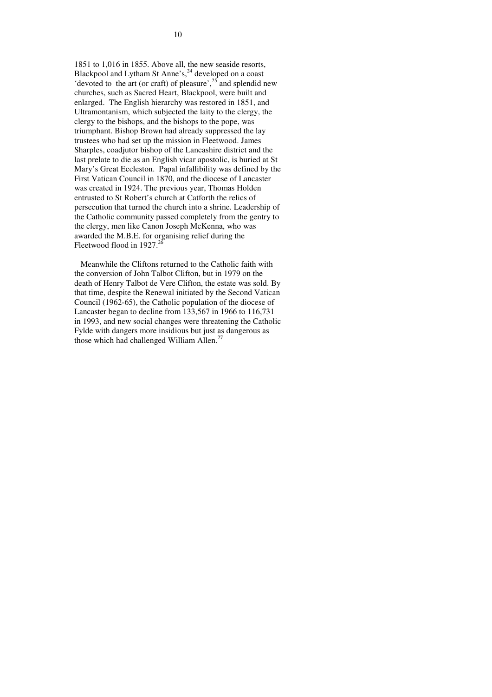1851 to 1,016 in 1855. Above all, the new seaside resorts, Blackpool and Lytham St Anne's,<sup>24</sup> developed on a coast 'devoted to the art (or craft) of pleasure',<sup>25</sup> and splendid new churches, such as Sacred Heart, Blackpool, were built and enlarged. The English hierarchy was restored in 1851, and Ultramontanism, which subjected the laity to the clergy, the clergy to the bishops, and the bishops to the pope, was triumphant. Bishop Brown had already suppressed the lay trustees who had set up the mission in Fleetwood. James Sharples, coadjutor bishop of the Lancashire district and the last prelate to die as an English vicar apostolic, is buried at St Mary's Great Eccleston. Papal infallibility was defined by the First Vatican Council in 1870, and the diocese of Lancaster was created in 1924. The previous year, Thomas Holden entrusted to St Robert's church at Catforth the relics of persecution that turned the church into a shrine. Leadership of the Catholic community passed completely from the gentry to the clergy, men like Canon Joseph McKenna, who was awarded the M.B.E. for organising relief during the Fleetwood flood in  $1927$ .<sup>26</sup>

 Meanwhile the Cliftons returned to the Catholic faith with the conversion of John Talbot Clifton, but in 1979 on the death of Henry Talbot de Vere Clifton, the estate was sold. By that time, despite the Renewal initiated by the Second Vatican Council (1962-65), the Catholic population of the diocese of Lancaster began to decline from 133,567 in 1966 to 116,731 in 1993, and new social changes were threatening the Catholic Fylde with dangers more insidious but just as dangerous as those which had challenged William Allen.<sup>27</sup>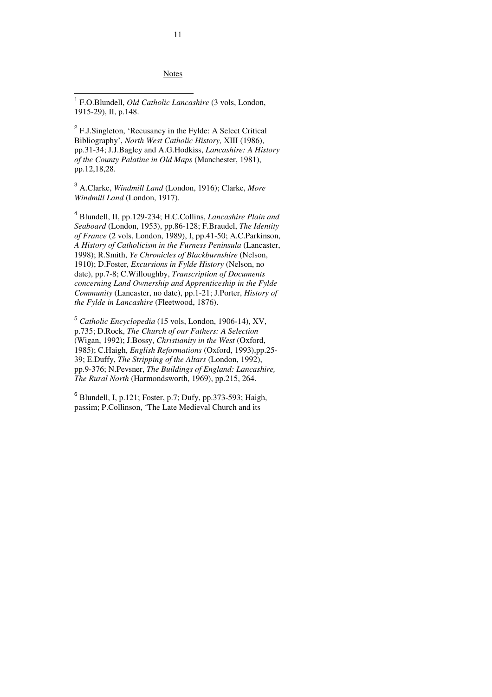Notes

<sup>1</sup> F.O.Blundell, *Old Catholic Lancashire* (3 vols, London, 1915-29), II, p.148.

 $\overline{a}$ 

<sup>2</sup> F.J.Singleton, 'Recusancy in the Fylde: A Select Critical Bibliography', *North West Catholic History,* XIII (1986), pp.31-34; J.J.Bagley and A.G.Hodkiss, *Lancashire: A History of the County Palatine in Old Maps* (Manchester, 1981), pp.12,18,28.

<sup>3</sup> A.Clarke, *Windmill Land* (London, 1916); Clarke, *More Windmill Land* (London, 1917).

4 Blundell, II, pp.129-234; H.C.Collins, *Lancashire Plain and Seaboard* (London, 1953), pp.86-128; F.Braudel, *The Identity of France* (2 vols, London, 1989), I, pp.41-50; A.C.Parkinson, *A History of Catholicism in the Furness Peninsula* (Lancaster, 1998); R.Smith, *Ye Chronicles of Blackburnshire* (Nelson, 1910); D.Foster, *Excursions in Fylde History* (Nelson, no date), pp.7-8; C.Willoughby, *Transcription of Documents concerning Land Ownership and Apprenticeship in the Fylde Community* (Lancaster, no date), pp.1-21; J.Porter, *History of the Fylde in Lancashire* (Fleetwood, 1876).

 5 *Catholic Encyclopedia* (15 vols, London, 1906-14), XV, p.735; D.Rock, *The Church of our Fathers: A Selection*  (Wigan, 1992); J.Bossy, *Christianity in the West* (Oxford, 1985); C.Haigh, *English Reformations* (Oxford, 1993),pp.25- 39; E.Duffy, *The Stripping of the Altars* (London, 1992), pp.9-376; N.Pevsner, *The Buildings of England: Lancashire, The Rural North* (Harmondsworth, 1969), pp.215, 264.

6 Blundell, I, p.121; Foster, p.7; Dufy, pp.373-593; Haigh, passim; P.Collinson, 'The Late Medieval Church and its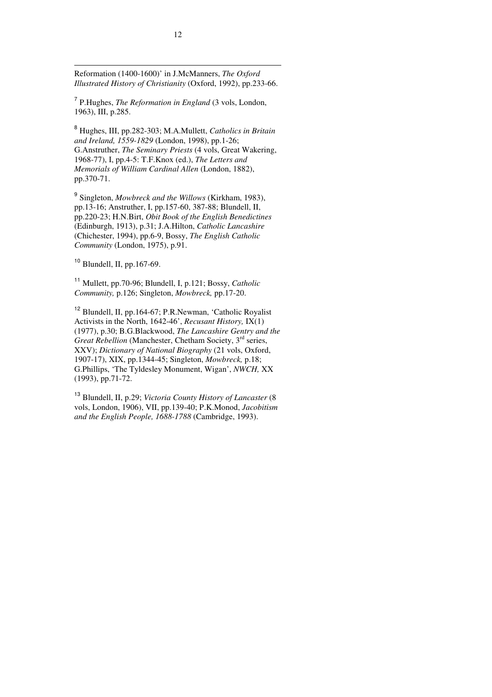Reformation (1400-1600)' in J.McManners, *The Oxford Illustrated History of Christianity* (Oxford, 1992), pp.233-66.

7 P.Hughes, *The Reformation in England* (3 vols, London, 1963), III, p.285.

<sup>8</sup> Hughes, III, pp.282-303; M.A.Mullett, *Catholics in Britain and Ireland, 1559-1829* (London, 1998), pp.1-26; G.Anstruther, *The Seminary Priests* (4 vols, Great Wakering, 1968-77), I, pp.4-5: T.F.Knox (ed.), *The Letters and Memorials of William Cardinal Allen* (London, 1882), pp.370-71.

9 Singleton, *Mowbreck and the Willows* (Kirkham, 1983), pp.13-16; Anstruther, I, pp.157-60, 387-88; Blundell, II, pp.220-23; H.N.Birt, *Obit Book of the English Benedictines*  (Edinburgh, 1913), p.31; J.A.Hilton, *Catholic Lancashire*  (Chichester, 1994), pp.6-9, Bossy, *The English Catholic Community* (London, 1975), p.91.

 $10$  Blundell, II, pp. 167-69.

-

<sup>11</sup> Mullett, pp.70-96; Blundell, I, p.121; Bossy, *Catholic Community,* p.126; Singleton, *Mowbreck,* pp.17-20.

<sup>12</sup> Blundell, II, pp.164-67; P.R.Newman, 'Catholic Royalist Activists in the North, 1642-46', *Recusant History,* IX(1) (1977), p.30; B.G.Blackwood, *The Lancashire Gentry and the Great Rebellion (Manchester, Chetham Society, 3<sup>rd</sup> series,* XXV); *Dictionary of National Biography* (21 vols, Oxford, 1907-17), XIX, pp.1344-45; Singleton, *Mowbreck,* p.18; G.Phillips, 'The Tyldesley Monument, Wigan', *NWCH,* XX (1993), pp.71-72.

<sup>13</sup> Blundell, II, p.29; *Victoria County History of Lancaster* (8 vols, London, 1906), VII, pp.139-40; P.K.Monod, *Jacobitism and the English People, 1688-1788* (Cambridge, 1993).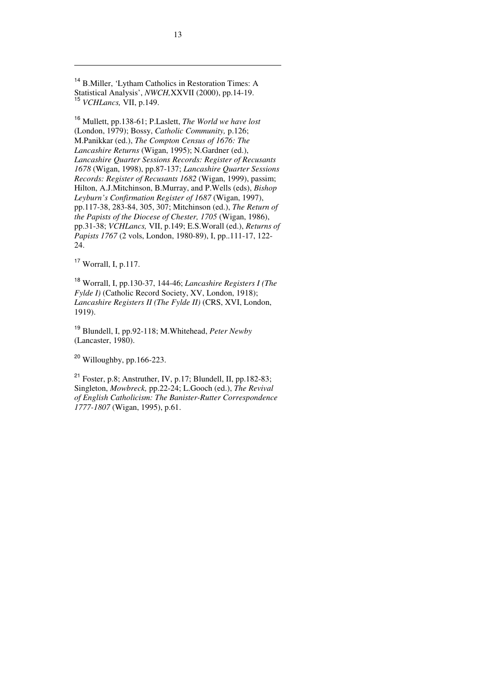<sup>14</sup> B.Miller, 'Lytham Catholics in Restoration Times: A Statistical Analysis', *NWCH,*XXVII (2000), pp.14-19. <sup>15</sup> *VCHLancs,* VII, p.149.

<sup>16</sup> Mullett, pp.138-61; P.Laslett, *The World we have lost*  (London, 1979); Bossy, *Catholic Community,* p.126; M.Panikkar (ed.), *The Compton Census of 1676: The Lancashire Returns* (Wigan, 1995); N.Gardner (ed.), *Lancashire Quarter Sessions Records: Register of Recusants 1678* (Wigan, 1998), pp.87-137; *Lancashire Quarter Sessions Records: Register of Recusants 1682* (Wigan, 1999), passim; Hilton, A.J.Mitchinson, B.Murray, and P.Wells (eds), *Bishop Leyburn's Confirmation Register of 1687* (Wigan, 1997), pp.117-38, 283-84, 305, 307; Mitchinson (ed.), *The Return of the Papists of the Diocese of Chester, 1705* (Wigan, 1986), pp.31-38; *VCHLancs,* VII, p.149; E.S.Worall (ed.), *Returns of Papists 1767* (2 vols, London, 1980-89), I, pp..111-17, 122- 24.

 $17$  Worrall, I, p.117.

-

<sup>18</sup> Worrall, I, pp.130-37, 144-46; *Lancashire Registers I (The Fylde I)* (Catholic Record Society, XV, London, 1918); *Lancashire Registers II (The Fylde II)* (CRS, XVI, London, 1919).

<sup>19</sup> Blundell, I, pp.92-118; M.Whitehead, *Peter Newby* (Lancaster, 1980).

<sup>20</sup> Willoughby, pp.166-223.

<sup>21</sup> Foster, p.8; Anstruther, IV, p.17; Blundell, II, pp.182-83; Singleton, *Mowbreck,* pp.22-24; L.Gooch (ed.), *The Revival of English Catholicism: The Banister-Rutter Correspondence 1777-1807* (Wigan, 1995), p.61.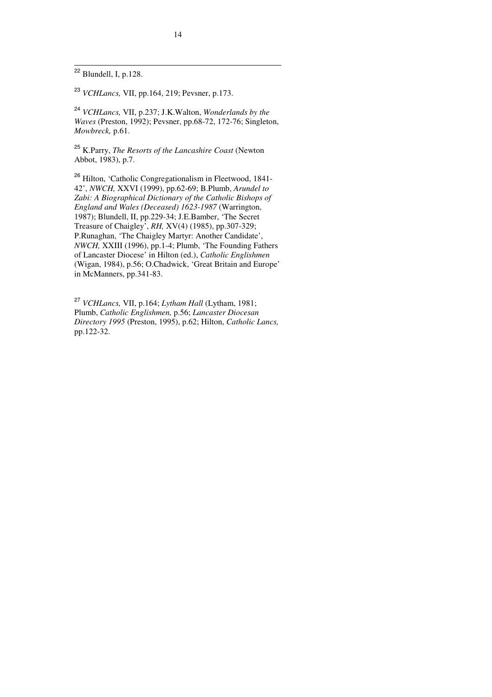$\frac{1}{22}$  Blundell, I, p.128.

<sup>23</sup> *VCHLancs,* VII, pp.164, 219; Pevsner, p.173.

<sup>24</sup> *VCHLancs,* VII, p.237; J.K.Walton, *Wonderlands by the Waves* (Preston, 1992); Pevsner, pp.68-72, 172-76; Singleton, *Mowbreck,* p.61.

<sup>25</sup> K.Parry, *The Resorts of the Lancashire Coast* (Newton Abbot, 1983), p.7.

<sup>26</sup> Hilton, 'Catholic Congregationalism in Fleetwood, 1841- 42', *NWCH,* XXVI (1999), pp.62-69; B.Plumb, *Arundel to Zabi: A Biographical Dictionary of the Catholic Bishops of England and Wales (Deceased) 1623-1987* (Warrington, 1987); Blundell, II, pp.229-34; J.E.Bamber, 'The Secret Treasure of Chaigley', *RH,* XV(4) (1985), pp.307-329; P.Runaghan, 'The Chaigley Martyr: Another Candidate', *NWCH,* XXIII (1996), pp.1-4; Plumb, 'The Founding Fathers of Lancaster Diocese' in Hilton (ed.), *Catholic Englishmen*  (Wigan, 1984), p.56; O.Chadwick, 'Great Britain and Europe' in McManners, pp.341-83.

<sup>27</sup> *VCHLancs,* VII, p.164; *Lytham Hall* (Lytham, 1981; Plumb, *Catholic Englishmen,* p.56; *Lancaster Diocesan Directory 1995* (Preston, 1995), p.62; Hilton, *Catholic Lancs,*  pp.122-32.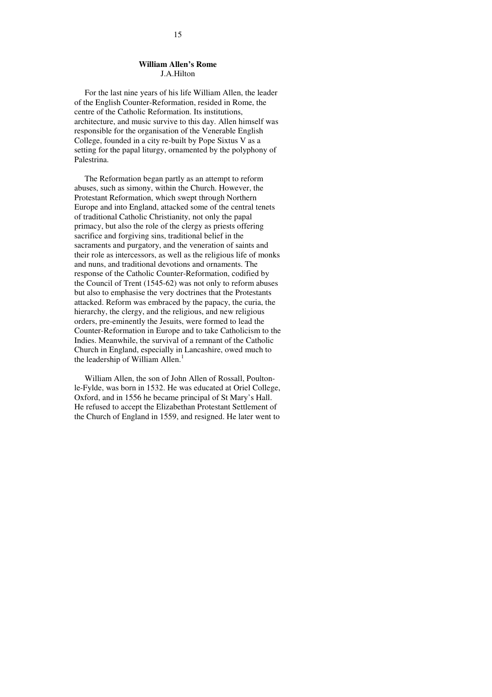## **William Allen's Rome** J.A.Hilton

 For the last nine years of his life William Allen, the leader of the English Counter-Reformation, resided in Rome, the centre of the Catholic Reformation. Its institutions, architecture, and music survive to this day. Allen himself was responsible for the organisation of the Venerable English College, founded in a city re-built by Pope Sixtus V as a setting for the papal liturgy, ornamented by the polyphony of Palestrina.

 The Reformation began partly as an attempt to reform abuses, such as simony, within the Church. However, the Protestant Reformation, which swept through Northern Europe and into England, attacked some of the central tenets of traditional Catholic Christianity, not only the papal primacy, but also the role of the clergy as priests offering sacrifice and forgiving sins, traditional belief in the sacraments and purgatory, and the veneration of saints and their role as intercessors, as well as the religious life of monks and nuns, and traditional devotions and ornaments. The response of the Catholic Counter-Reformation, codified by the Council of Trent (1545-62) was not only to reform abuses but also to emphasise the very doctrines that the Protestants attacked. Reform was embraced by the papacy, the curia, the hierarchy, the clergy, and the religious, and new religious orders, pre-eminently the Jesuits, were formed to lead the Counter-Reformation in Europe and to take Catholicism to the Indies. Meanwhile, the survival of a remnant of the Catholic Church in England, especially in Lancashire, owed much to the leadership of William Allen.<sup>1</sup>

 William Allen, the son of John Allen of Rossall, Poultonle-Fylde, was born in 1532. He was educated at Oriel College, Oxford, and in 1556 he became principal of St Mary's Hall. He refused to accept the Elizabethan Protestant Settlement of the Church of England in 1559, and resigned. He later went to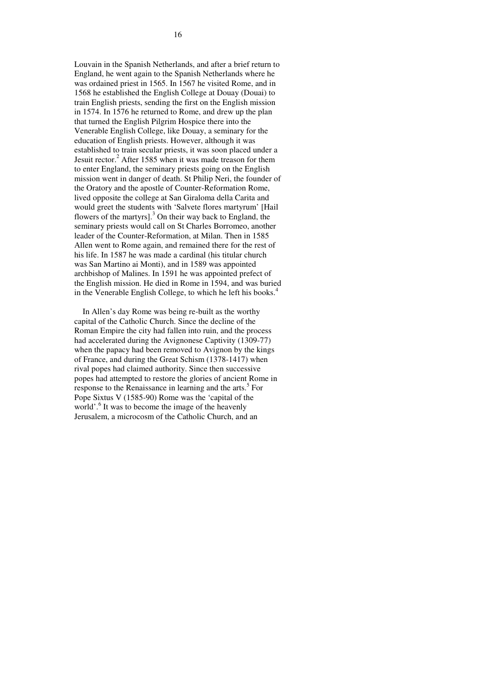Louvain in the Spanish Netherlands, and after a brief return to England, he went again to the Spanish Netherlands where he was ordained priest in 1565. In 1567 he visited Rome, and in 1568 he established the English College at Douay (Douai) to train English priests, sending the first on the English mission in 1574. In 1576 he returned to Rome, and drew up the plan that turned the English Pilgrim Hospice there into the Venerable English College, like Douay, a seminary for the education of English priests. However, although it was established to train secular priests, it was soon placed under a Jesuit rector.<sup>2</sup> After 1585 when it was made treason for them to enter England, the seminary priests going on the English mission went in danger of death. St Philip Neri, the founder of the Oratory and the apostle of Counter-Reformation Rome, lived opposite the college at San Giraloma della Carita and would greet the students with 'Salvete flores martyrum' [Hail flowers of the martyrs].<sup>3</sup> On their way back to England, the seminary priests would call on St Charles Borromeo, another leader of the Counter-Reformation, at Milan. Then in 1585 Allen went to Rome again, and remained there for the rest of his life. In 1587 he was made a cardinal (his titular church was San Martino ai Monti), and in 1589 was appointed archbishop of Malines. In 1591 he was appointed prefect of the English mission. He died in Rome in 1594, and was buried in the Venerable English College, to which he left his books.<sup>4</sup>

 In Allen's day Rome was being re-built as the worthy capital of the Catholic Church. Since the decline of the Roman Empire the city had fallen into ruin, and the process had accelerated during the Avignonese Captivity (1309-77) when the papacy had been removed to Avignon by the kings of France, and during the Great Schism (1378-1417) when rival popes had claimed authority. Since then successive popes had attempted to restore the glories of ancient Rome in response to the Renaissance in learning and the arts.<sup>5</sup> For Pope Sixtus V (1585-90) Rome was the 'capital of the world'.<sup>6</sup> It was to become the image of the heavenly Jerusalem, a microcosm of the Catholic Church, and an

16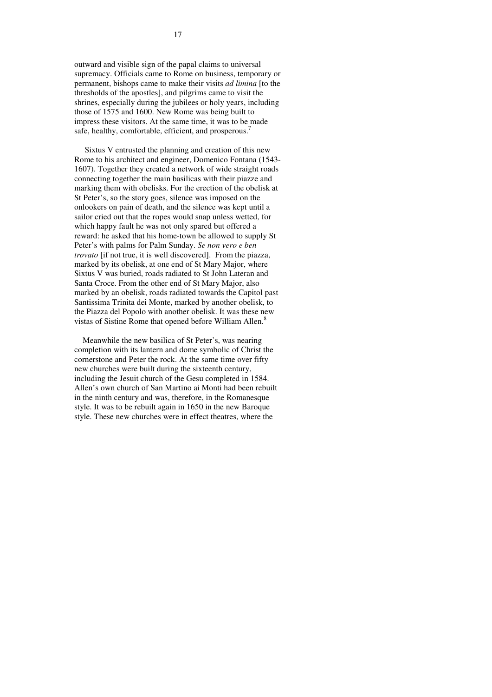outward and visible sign of the papal claims to universal supremacy. Officials came to Rome on business, temporary or permanent, bishops came to make their visits *ad limina* [to the thresholds of the apostles], and pilgrims came to visit the shrines, especially during the jubilees or holy years, including those of 1575 and 1600. New Rome was being built to impress these visitors. At the same time, it was to be made safe, healthy, comfortable, efficient, and prosperous.<sup>7</sup>

 Sixtus V entrusted the planning and creation of this new Rome to his architect and engineer, Domenico Fontana (1543- 1607). Together they created a network of wide straight roads connecting together the main basilicas with their piazze and marking them with obelisks. For the erection of the obelisk at St Peter's, so the story goes, silence was imposed on the onlookers on pain of death, and the silence was kept until a sailor cried out that the ropes would snap unless wetted, for which happy fault he was not only spared but offered a reward: he asked that his home-town be allowed to supply St Peter's with palms for Palm Sunday. *Se non vero e ben trovato* [if not true, it is well discovered]. From the piazza, marked by its obelisk, at one end of St Mary Major, where Sixtus V was buried, roads radiated to St John Lateran and Santa Croce. From the other end of St Mary Major, also marked by an obelisk, roads radiated towards the Capitol past Santissima Trinita dei Monte, marked by another obelisk, to the Piazza del Popolo with another obelisk. It was these new vistas of Sistine Rome that opened before William Allen.<sup>8</sup>

 Meanwhile the new basilica of St Peter's, was nearing completion with its lantern and dome symbolic of Christ the cornerstone and Peter the rock. At the same time over fifty new churches were built during the sixteenth century, including the Jesuit church of the Gesu completed in 1584. Allen's own church of San Martino ai Monti had been rebuilt in the ninth century and was, therefore, in the Romanesque style. It was to be rebuilt again in 1650 in the new Baroque style. These new churches were in effect theatres, where the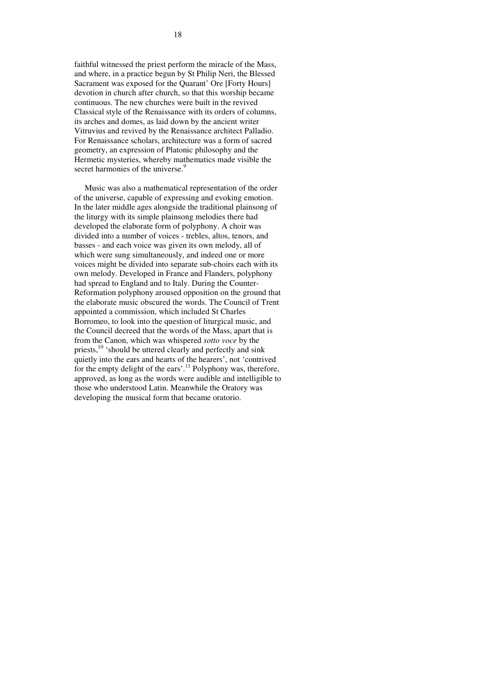faithful witnessed the priest perform the miracle of the Mass, and where, in a practice begun by St Philip Neri, the Blessed Sacrament was exposed for the Quarant' Ore [Forty Hours] devotion in church after church, so that this worship became continuous. The new churches were built in the revived Classical style of the Renaissance with its orders of columns, its arches and domes, as laid down by the ancient writer Vitruvius and revived by the Renaissance architect Palladio. For Renaissance scholars, architecture was a form of sacred geometry, an expression of Platonic philosophy and the Hermetic mysteries, whereby mathematics made visible the secret harmonies of the universe.<sup>9</sup>

 Music was also a mathematical representation of the order of the universe, capable of expressing and evoking emotion. In the later middle ages alongside the traditional plainsong of the liturgy with its simple plainsong melodies there had developed the elaborate form of polyphony. A choir was divided into a number of voices - trebles, altos, tenors, and basses - and each voice was given its own melody, all of which were sung simultaneously, and indeed one or more voices might be divided into separate sub-choirs each with its own melody. Developed in France and Flanders, polyphony had spread to England and to Italy. During the Counter-Reformation polyphony aroused opposition on the ground that the elaborate music obscured the words. The Council of Trent appointed a commission, which included St Charles Borromeo, to look into the question of liturgical music, and the Council decreed that the words of the Mass, apart that is from the Canon, which was whispered *sotto voce* by the priests,<sup>10</sup> 'should be uttered clearly and perfectly and sink quietly into the ears and hearts of the hearers', not 'contrived for the empty delight of the ears'.<sup>11</sup> Polyphony was, therefore, approved, as long as the words were audible and intelligible to those who understood Latin. Meanwhile the Oratory was developing the musical form that became oratorio.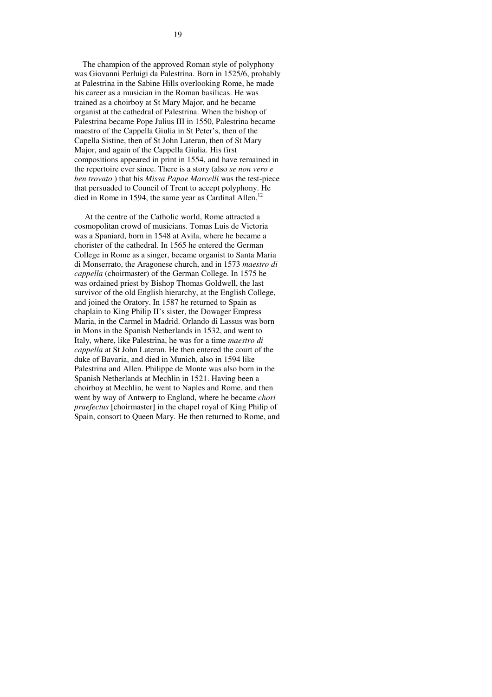The champion of the approved Roman style of polyphony was Giovanni Perluigi da Palestrina. Born in 1525/6, probably at Palestrina in the Sabine Hills overlooking Rome, he made his career as a musician in the Roman basilicas. He was trained as a choirboy at St Mary Major, and he became organist at the cathedral of Palestrina. When the bishop of Palestrina became Pope Julius III in 1550, Palestrina became maestro of the Cappella Giulia in St Peter's, then of the Capella Sistine, then of St John Lateran, then of St Mary Major, and again of the Cappella Giulia. His first compositions appeared in print in 1554, and have remained in the repertoire ever since. There is a story (also *se non vero e ben trovato* ) that his *Missa Papae Marcelli* was the test-piece that persuaded to Council of Trent to accept polyphony. He died in Rome in 1594, the same year as Cardinal Allen.<sup>12</sup>

 At the centre of the Catholic world, Rome attracted a cosmopolitan crowd of musicians. Tomas Luis de Victoria was a Spaniard, born in 1548 at Avila, where he became a chorister of the cathedral. In 1565 he entered the German College in Rome as a singer, became organist to Santa Maria di Monserrato, the Aragonese church, and in 1573 *maestro di cappella* (choirmaster) of the German College. In 1575 he was ordained priest by Bishop Thomas Goldwell, the last survivor of the old English hierarchy, at the English College, and joined the Oratory. In 1587 he returned to Spain as chaplain to King Philip II's sister, the Dowager Empress Maria, in the Carmel in Madrid. Orlando di Lassus was born in Mons in the Spanish Netherlands in 1532, and went to Italy, where, like Palestrina, he was for a time *maestro di cappella* at St John Lateran. He then entered the court of the duke of Bavaria, and died in Munich, also in 1594 like Palestrina and Allen. Philippe de Monte was also born in the Spanish Netherlands at Mechlin in 1521. Having been a choirboy at Mechlin, he went to Naples and Rome, and then went by way of Antwerp to England, where he became *chori praefectus* [choirmaster] in the chapel royal of King Philip of Spain, consort to Queen Mary. He then returned to Rome, and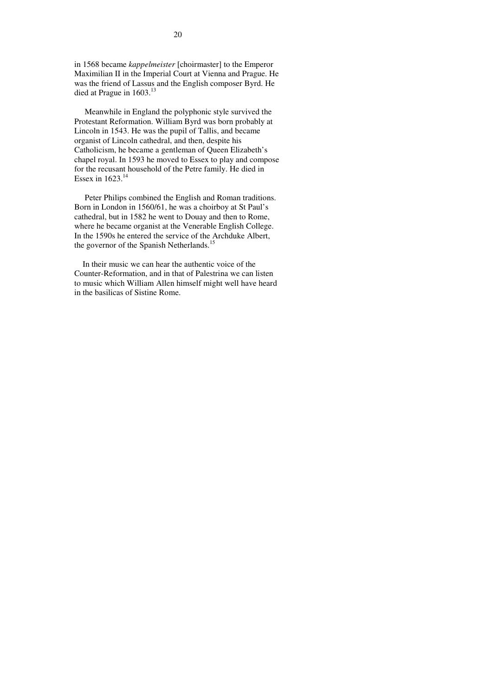in 1568 became *kappelmeister* [choirmaster] to the Emperor Maximilian II in the Imperial Court at Vienna and Prague. He was the friend of Lassus and the English composer Byrd. He died at Prague in 1603.<sup>13</sup>

 Meanwhile in England the polyphonic style survived the Protestant Reformation. William Byrd was born probably at Lincoln in 1543. He was the pupil of Tallis, and became organist of Lincoln cathedral, and then, despite his Catholicism, he became a gentleman of Queen Elizabeth's chapel royal. In 1593 he moved to Essex to play and compose for the recusant household of the Petre family. He died in Essex in  $1623.<sup>14</sup>$ 

 Peter Philips combined the English and Roman traditions. Born in London in 1560/61, he was a choirboy at St Paul's cathedral, but in 1582 he went to Douay and then to Rome, where he became organist at the Venerable English College. In the 1590s he entered the service of the Archduke Albert, the governor of the Spanish Netherlands.<sup>15</sup>

 In their music we can hear the authentic voice of the Counter-Reformation, and in that of Palestrina we can listen to music which William Allen himself might well have heard in the basilicas of Sistine Rome.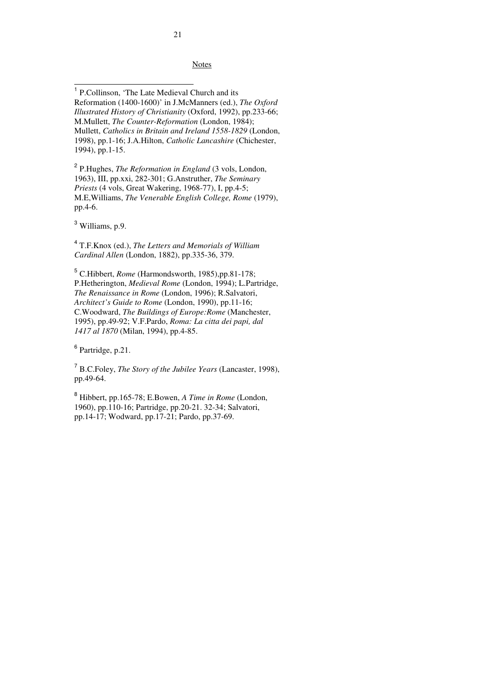**Notes** 

 1 P.Collinson, 'The Late Medieval Church and its Reformation (1400-1600)' in J.McManners (ed.), *The Oxford Illustrated History of Christianity* (Oxford, 1992), pp.233-66; M.Mullett, *The Counter-Reformation* (London, 1984); Mullett, *Catholics in Britain and Ireland 1558-1829* (London, 1998), pp.1-16; J.A.Hilton, *Catholic Lancashire* (Chichester, 1994), pp.1-15.

2 P.Hughes, *The Reformation in England* (3 vols, London, 1963), III, pp.xxi, 282-301; G.Anstruther, *The Seminary Priests* (4 vols, Great Wakering, 1968-77), I, pp.4-5; M.E,Williams, *The Venerable English College, Rome* (1979), pp.4-6.

<sup>3</sup> Williams, p.9.

4 T.F.Knox (ed.), *The Letters and Memorials of William Cardinal Allen* (London, 1882), pp.335-36, 379.

 5 C.Hibbert, *Rome* (Harmondsworth, 1985),pp.81-178; P.Hetherington, *Medieval Rome* (London, 1994); L.Partridge, *The Renaissance in Rome* (London, 1996); R.Salvatori, *Architect's Guide to Rome* (London, 1990), pp.11-16; C.Woodward, *The Buildings of Europe:Rome* (Manchester, 1995), pp.49-92; V.F.Pardo, *Roma: La citta dei papi, dal 1417 al 1870* (Milan, 1994), pp.4-85.

6 Partridge, p.21.

7 B.C.Foley, *The Story of the Jubilee Years* (Lancaster, 1998), pp.49-64.

<sup>8</sup> Hibbert, pp.165-78; E.Bowen, *A Time in Rome* (London, 1960), pp.110-16; Partridge, pp.20-21. 32-34; Salvatori, pp.14-17; Wodward, pp.17-21; Pardo, pp.37-69.